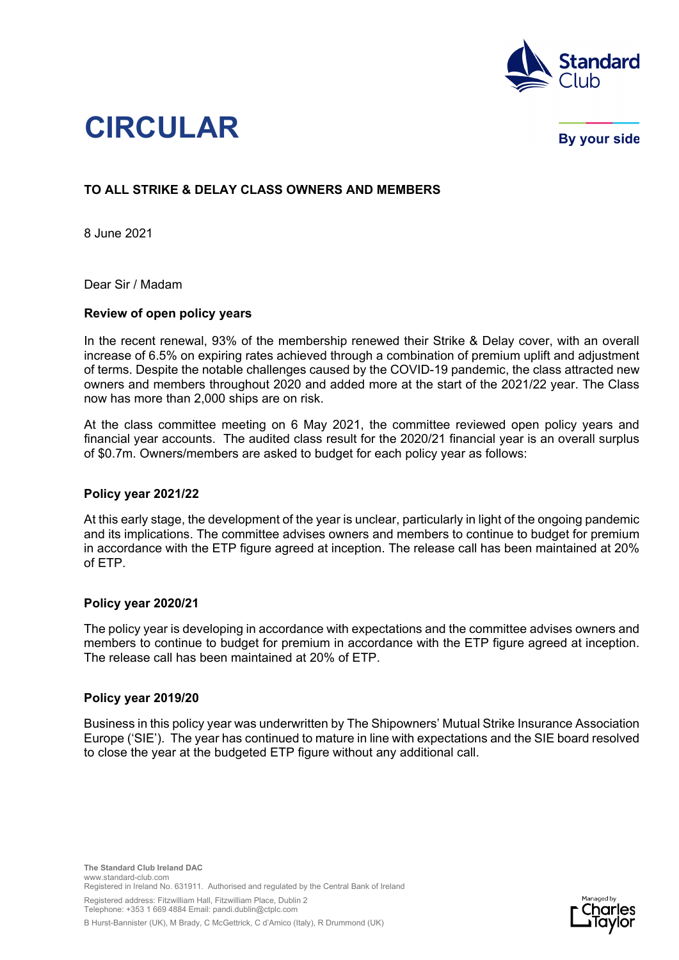

# **CIRCULAR**

By your side

## **TO ALL STRIKE & DELAY CLASS OWNERS AND MEMBERS**

8 June 2021

Dear Sir / Madam

### **Review of open policy years**

In the recent renewal, 93% of the membership renewed their Strike & Delay cover, with an overall increase of 6.5% on expiring rates achieved through a combination of premium uplift and adjustment of terms. Despite the notable challenges caused by the COVID-19 pandemic, the class attracted new owners and members throughout 2020 and added more at the start of the 2021/22 year. The Class now has more than 2,000 ships are on risk.

At the class committee meeting on 6 May 2021, the committee reviewed open policy years and financial year accounts. The audited class result for the 2020/21 financial year is an overall surplus of \$0.7m. Owners/members are asked to budget for each policy year as follows:

## **Policy year 2021/22**

At this early stage, the development of the year is unclear, particularly in light of the ongoing pandemic and its implications. The committee advises owners and members to continue to budget for premium in accordance with the ETP figure agreed at inception. The release call has been maintained at 20% of ETP.

#### **Policy year 2020/21**

The policy year is developing in accordance with expectations and the committee advises owners and members to continue to budget for premium in accordance with the ETP figure agreed at inception. The release call has been maintained at 20% of ETP.

#### **Policy year 2019/20**

Business in this policy year was underwritten by The Shipowners' Mutual Strike Insurance Association Europe ('SIE'). The year has continued to mature in line with expectations and the SIE board resolved to close the year at the budgeted ETP figure without any additional call.